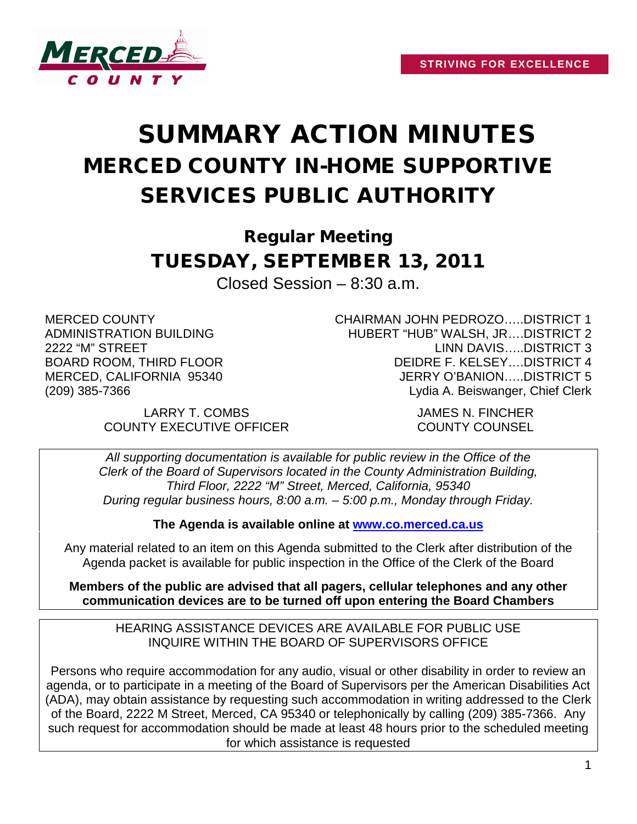

## SUMMARY ACTION MINUTES MERCED COUNTY IN-HOME SUPPORTIVE SERVICES PUBLIC AUTHORITY

Regular Meeting TUESDAY, SEPTEMBER 13, 2011

Closed Session – 8:30 a.m.

MERCED COUNTY ADMINISTRATION BUILDING 2222 "M" STREET BOARD ROOM, THIRD FLOOR MERCED, CALIFORNIA 95340 (209) 385-7366

> LARRY T. COMBS JAMES N. FINCHER COUNTY EXECUTIVE OFFICER COUNTY COUNSEL

CHAIRMAN JOHN PEDROZO…..DISTRICT 1 HUBERT "HUB" WALSH, JR….DISTRICT 2 LINN DAVIS…..DISTRICT 3 DEIDRE F. KELSEY….DISTRICT 4 JERRY O'BANION…..DISTRICT 5 Lydia A. Beiswanger, Chief Clerk

*All supporting documentation is available for public review in the Office of the Clerk of the Board of Supervisors located in the County Administration Building, Third Floor, 2222 "M" Street, Merced, California, 95340 During regular business hours, 8:00 a.m. – 5:00 p.m., Monday through Friday.*

**The Agenda is available online at [www.co.merced.ca.us](http://www.co.merced.ca.us/)**

Any material related to an item on this Agenda submitted to the Clerk after distribution of the Agenda packet is available for public inspection in the Office of the Clerk of the Board

**Members of the public are advised that all pagers, cellular telephones and any other communication devices are to be turned off upon entering the Board Chambers**

HEARING ASSISTANCE DEVICES ARE AVAILABLE FOR PUBLIC USE INQUIRE WITHIN THE BOARD OF SUPERVISORS OFFICE

Persons who require accommodation for any audio, visual or other disability in order to review an agenda, or to participate in a meeting of the Board of Supervisors per the American Disabilities Act (ADA), may obtain assistance by requesting such accommodation in writing addressed to the Clerk of the Board, 2222 M Street, Merced, CA 95340 or telephonically by calling (209) 385-7366. Any such request for accommodation should be made at least 48 hours prior to the scheduled meeting for which assistance is requested